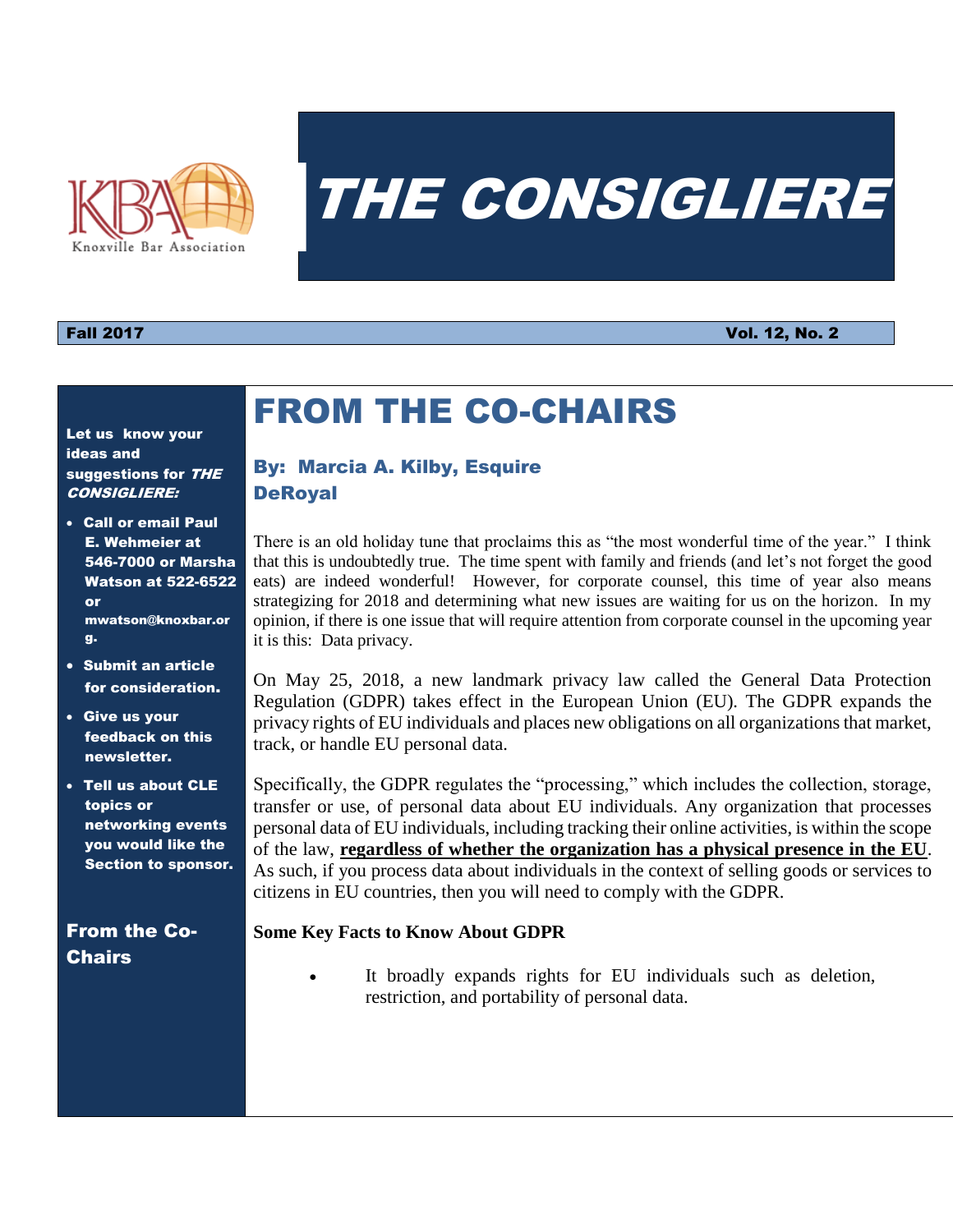

# THE CONSIGLIERE

### Fall 2017 Vol. 12, No. 2

#### Let us know your ideas and suggestions for THE CONSIGLIERE:

- Call or email Paul E. Wehmeier at 546-7000 or Marsha Watson at 522-6522 or mwatson@knoxbar.or g.
- Submit an article for consideration.
- Give us your feedback on this newsletter.
- Tell us about CLE topics or networking events you would like the Section to sponsor.

### From the Co-**Chairs**

### By: Marcia A. Kilby, Esquire **DeRoyal**

FROM THE CO-CHAIRS

There is an old holiday tune that proclaims this as "the most wonderful time of the year." I think that this is undoubtedly true. The time spent with family and friends (and let's not forget the good eats) are indeed wonderful! However, for corporate counsel, this time of year also means strategizing for 2018 and determining what new issues are waiting for us on the horizon. In my opinion, if there is one issue that will require attention from corporate counsel in the upcoming year it is this: Data privacy.

On May 25, 2018, a new landmark privacy law called the General Data Protection Regulation (GDPR) takes effect in the European Union (EU). The GDPR expands the privacy rights of EU individuals and places new obligations on all organizations that market, track, or handle EU personal data.

Specifically, the GDPR regulates the "processing," which includes the collection, storage, transfer or use, of personal data about EU individuals. Any organization that processes personal data of EU individuals, including tracking their online activities, is within the scope of the law, **regardless of whether the organization has a physical presence in the EU**. As such, if you process data about individuals in the context of selling goods or services to citizens in EU countries, then you will need to comply with the GDPR.

### **Some Key Facts to Know About GDPR**

 It broadly expands rights for EU individuals such as deletion, restriction, and portability of personal data.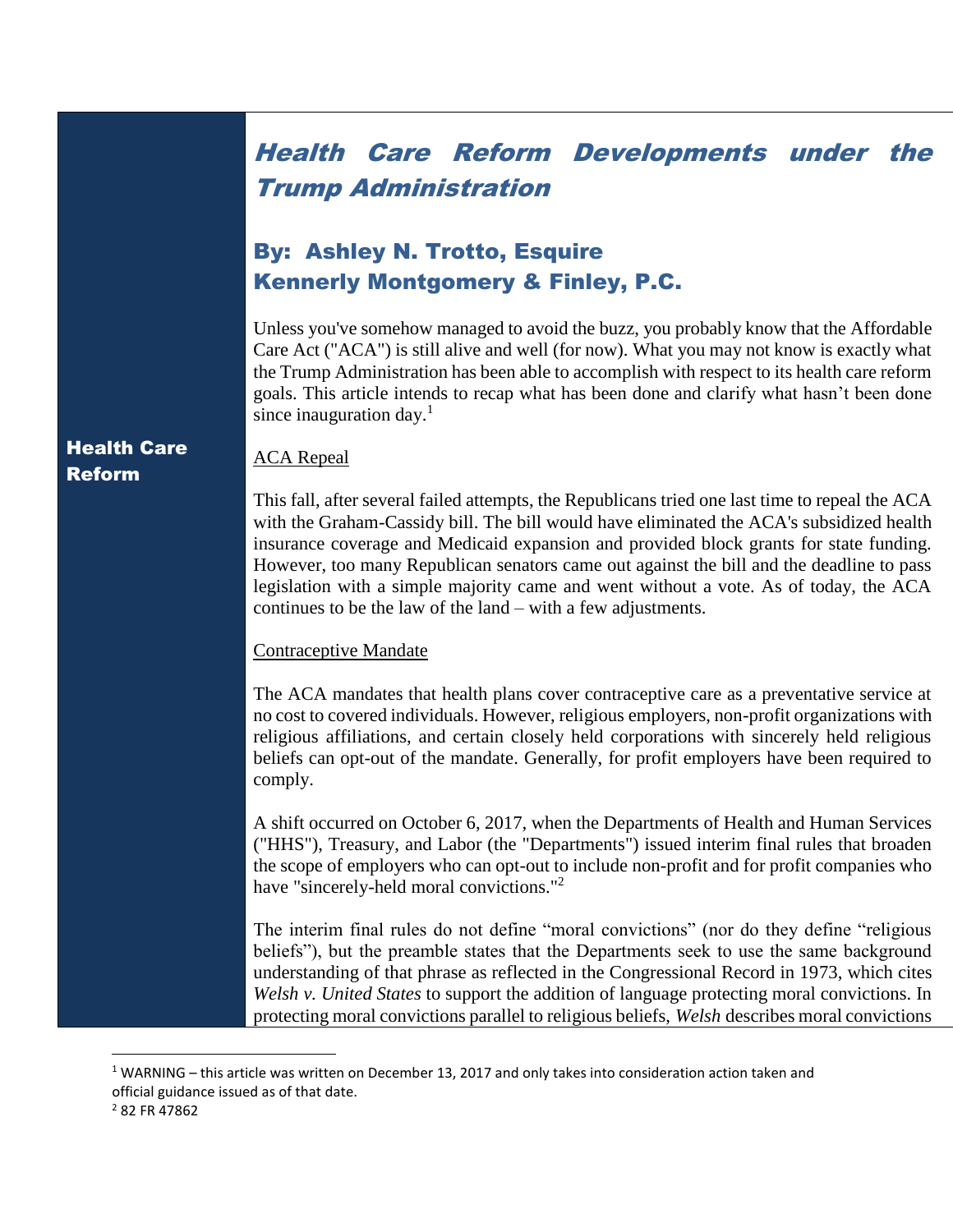## Health Care Reform Developments under the Trump Administration

### By: Ashley N. Trotto, Esquire Kennerly Montgomery & Finley, P.C.

Unless you've somehow managed to avoid the buzz, you probably know that the Affordable Care Act ("ACA") is still alive and well (for now). What you may not know is exactly what the Trump Administration has been able to accomplish with respect to its health care reform goals. This article intends to recap what has been done and clarify what hasn't been done since inauguration day. $<sup>1</sup>$ </sup>

### Health Care Reform

### **ACA** Repeal

This fall, after several failed attempts, the Republicans tried one last time to repeal the ACA with the Graham-Cassidy bill. The bill would have eliminated the ACA's subsidized health insurance coverage and Medicaid expansion and provided block grants for state funding. However, too many Republican senators came out against the bill and the deadline to pass legislation with a simple majority came and went without a vote. As of today, the ACA continues to be the law of the land – with a few adjustments.

### Contraceptive Mandate

The ACA mandates that health plans cover contraceptive care as a preventative service at no cost to covered individuals. However, religious employers, non-profit organizations with religious affiliations, and certain closely held corporations with sincerely held religious beliefs can opt-out of the mandate. Generally, for profit employers have been required to comply.

A shift occurred on October 6, 2017, when the Departments of Health and Human Services ("HHS"), Treasury, and Labor (the "Departments") issued interim final rules that broaden the scope of employers who can opt-out to include non-profit and for profit companies who have "sincerely-held moral convictions."<sup>2</sup>

The interim final rules do not define "moral convictions" (nor do they define "religious beliefs"), but the preamble states that the Departments seek to use the same background understanding of that phrase as reflected in the Congressional Record in 1973, which cites *Welsh v. United States* to support the addition of language protecting moral convictions. In protecting moral convictions parallel to religious beliefs, *Welsh* describes moral convictions

 $\overline{a}$ 

 $1$  WARNING – this article was written on December 13, 2017 and only takes into consideration action taken and official guidance issued as of that date.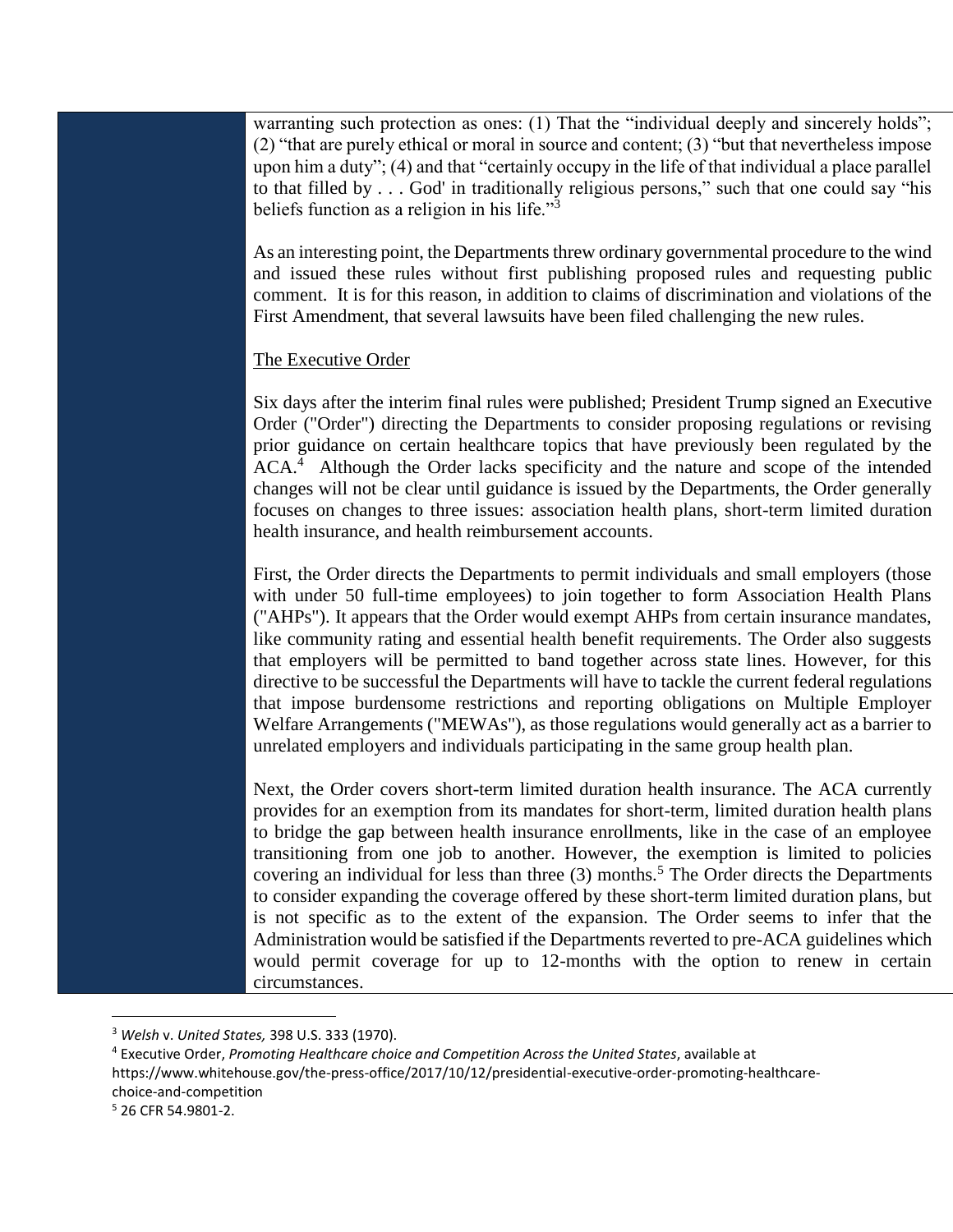warranting such protection as ones: (1) That the "individual deeply and sincerely holds"; (2) "that are purely ethical or moral in source and content; (3) "but that nevertheless impose upon him a duty"; (4) and that "certainly occupy in the life of that individual a place parallel to that filled by  $\ldots$  God' in traditionally religious persons," such that one could say "his beliefs function as a religion in his life."<sup>3</sup>

As an interesting point, the Departments threw ordinary governmental procedure to the wind and issued these rules without first publishing proposed rules and requesting public comment. It is for this reason, in addition to claims of discrimination and violations of the First Amendment, that several lawsuits have been filed challenging the new rules.

### The Executive Order

Six days after the interim final rules were published; President Trump signed an Executive Order ("Order") directing the Departments to consider proposing regulations or revising prior guidance on certain healthcare topics that have previously been regulated by the  $ACA.<sup>4</sup>$  Although the Order lacks specificity and the nature and scope of the intended changes will not be clear until guidance is issued by the Departments, the Order generally focuses on changes to three issues: association health plans, short-term limited duration health insurance, and health reimbursement accounts.

First, the Order directs the Departments to permit individuals and small employers (those with under 50 full-time employees) to join together to form Association Health Plans ("AHPs"). It appears that the Order would exempt AHPs from certain insurance mandates, like community rating and essential health benefit requirements. The Order also suggests that employers will be permitted to band together across state lines. However, for this directive to be successful the Departments will have to tackle the current federal regulations that impose burdensome restrictions and reporting obligations on Multiple Employer Welfare Arrangements ("MEWAs"), as those regulations would generally act as a barrier to unrelated employers and individuals participating in the same group health plan.

Next, the Order covers short-term limited duration health insurance. The ACA currently provides for an exemption from its mandates for short-term, limited duration health plans to bridge the gap between health insurance enrollments, like in the case of an employee transitioning from one job to another. However, the exemption is limited to policies covering an individual for less than three  $(3)$  months.<sup>5</sup> The Order directs the Departments to consider expanding the coverage offered by these short-term limited duration plans, but is not specific as to the extent of the expansion. The Order seems to infer that the Administration would be satisfied if the Departments reverted to pre-ACA guidelines which would permit coverage for up to 12-months with the option to renew in certain circumstances.

 $\overline{a}$ 

<sup>3</sup> *Welsh* v. *United States,* 398 U.S. 333 (1970).

<sup>4</sup> Executive Order, *Promoting Healthcare choice and Competition Across the United States*, available at https://www.whitehouse.gov/the-press-office/2017/10/12/presidential-executive-order-promoting-healthcarechoice-and-competition <sup>5</sup> 26 CFR 54.9801-2.